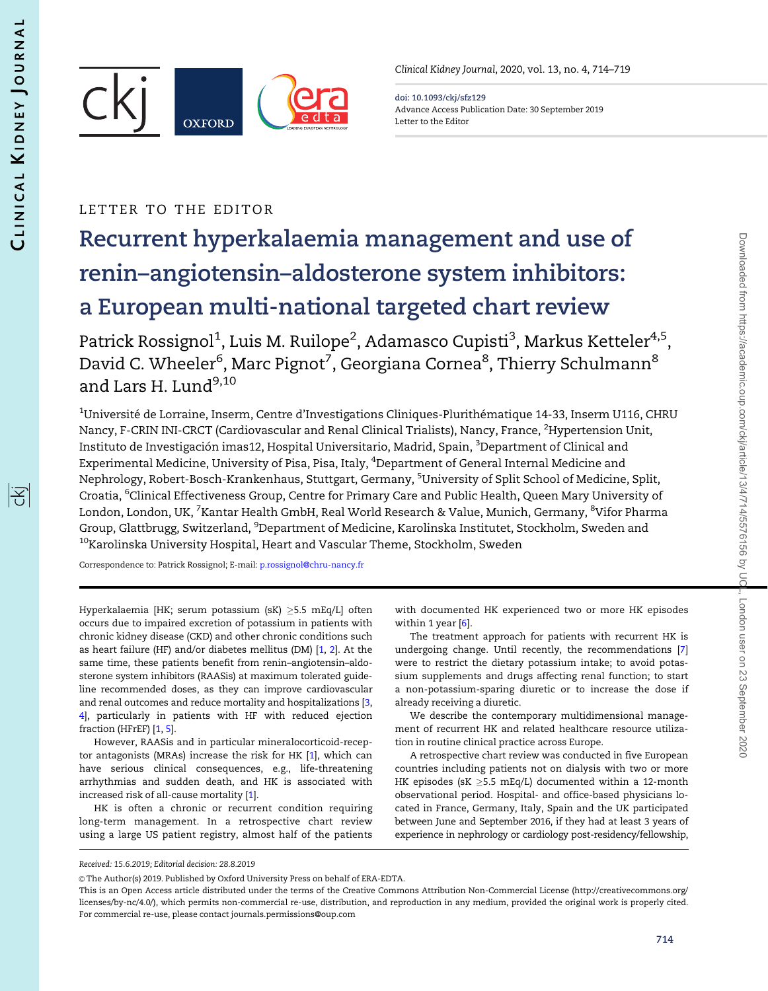序

<span id="page-0-0"></span>

Clinical Kidney Journal, 2020, vol. 13, no. 4, 714–719

doi: 10.1093/ckj/sfz129 Advance Access Publication Date: 30 September 2019 Letter to the Editor

## LETTER TO THE EDITOR

# Recurrent hyperkalaemia management and use of renin–angiotensin–aldosterone system inhibitors: a European multi-national targeted chart review

Patrick Rossignol<sup>1</sup>, Luis M. Ruilope<sup>2</sup>, Adamasco Cupisti<sup>3</sup>, Markus Ketteler<sup>4,5</sup>, David C. Wheeler<sup>6</sup>, Marc Pignot<sup>7</sup>, Georgiana Cornea<sup>8</sup>, Thierry Schulmann<sup>8</sup> and Lars H. Lund $9,10$ 

 $^{\rm 1}$ Université de Lorraine, Inserm, Centre d'Investigations Cliniques-Plurithématique 14-33, Inserm U116, CHRU Nancy, F-CRIN INI-CRCT (Cardiovascular and Renal Clinical Trialists), Nancy, France, <sup>2</sup>Hypertension Unit, Instituto de Investigación imas12, Hospital Universitario, Madrid, Spain, <sup>3</sup>Department of Clinical and Experimental Medicine, University of Pisa, Pisa, Italy, <sup>4</sup>Department of General Internal Medicine and Nephrology, Robert-Bosch-Krankenhaus, Stuttgart, Germany, <sup>5</sup>University of Split School of Medicine, Split, Croatia, <sup>6</sup>Clinical Effectiveness Group, Centre for Primary Care and Public Health, Queen Mary University of London, London, UK, <sup>7</sup>Kantar Health GmbH, Real World Research & Value, Munich, Germany, <sup>8</sup>Vifor Pharma Group, Glattbrugg, Switzerland, <sup>9</sup>Department of Medicine, Karolinska Institutet, Stockholm, Sweden and <sup>10</sup>Karolinska University Hospital, Heart and Vascular Theme, Stockholm, Sweden

Correspondence to: Patrick Rossignol; E-mail: [p.rossignol@chru-nancy.fr](mailto:p.rossignol@chru-nancy.fr)

Hyperkalaemia [HK; serum potassium (sK) ≥5.5 mEq/L] often occurs due to impaired excretion of potassium in patients with chronic kidney disease (CKD) and other chronic conditions such as heart failure (HF) and/or diabetes mellitus (DM) [\[1](#page-4-0), [2](#page-5-0)]. At the same time, these patients benefit from renin–angiotensin–aldosterone system inhibitors (RAASis) at maximum tolerated guideline recommended doses, as they can improve cardiovascular and renal outcomes and reduce mortality and hospitalizations [[3](#page-5-0), [4](#page-5-0)], particularly in patients with HF with reduced ejection fraction (HFrEF) [\[1](#page-4-0), [5](#page-5-0)].

However, RAASis and in particular mineralocorticoid-receptor antagonists (MRAs) increase the risk for HK [[1\]](#page-4-0), which can have serious clinical consequences, e.g., life-threatening arrhythmias and sudden death, and HK is associated with increased risk of all-cause mortality [\[1](#page-4-0)].

HK is often a chronic or recurrent condition requiring long-term management. In a retrospective chart review using a large US patient registry, almost half of the patients

with documented HK experienced two or more HK episodes within 1 year  $[6]$ .

The treatment approach for patients with recurrent HK is undergoing change. Until recently, the recommendations [[7\]](#page-5-0) were to restrict the dietary potassium intake; to avoid potassium supplements and drugs affecting renal function; to start a non-potassium-sparing diuretic or to increase the dose if already receiving a diuretic.

We describe the contemporary multidimensional management of recurrent HK and related healthcare resource utilization in routine clinical practice across Europe.

A retrospective chart review was conducted in five European countries including patients not on dialysis with two or more HK episodes (sK  $\geq$ 5.5 mEq/L) documented within a 12-month observational period. Hospital- and office-based physicians located in France, Germany, Italy, Spain and the UK participated between June and September 2016, if they had at least 3 years of experience in nephrology or cardiology post-residency/fellowship,

Received: 15.6.2019; Editorial decision: 28.8.2019

 $\odot$  The Author(s) 2019. Published by Oxford University Press on behalf of ERA-EDTA.

This is an Open Access article distributed under the terms of the Creative Commons Attribution Non-Commercial License (http://creativecommons.org/ licenses/by-nc/4.0/), which permits non-commercial re-use, distribution, and reproduction in any medium, provided the original work is properly cited. For commercial re-use, please contact journals.permissions@oup.com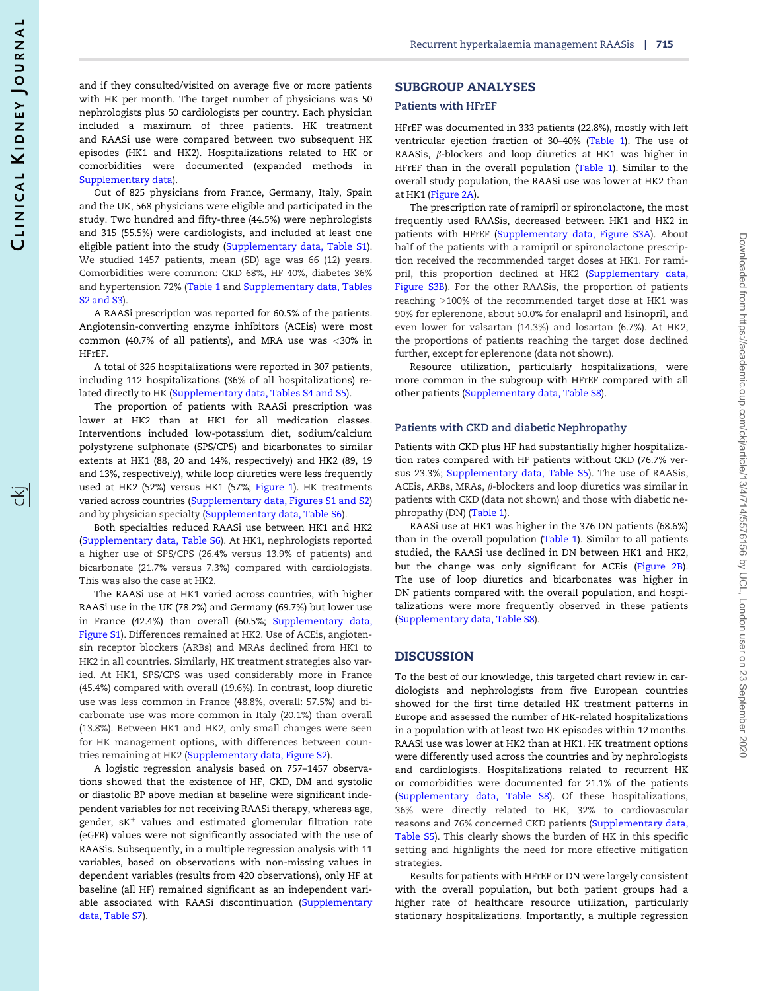and if they consulted/visited on average five or more patients with HK per month. The target number of physicians was 50 nephrologists plus 50 cardiologists per country. Each physician included a maximum of three patients. HK treatment and RAASi use were compared between two subsequent HK episodes (HK1 and HK2). Hospitalizations related to HK or comorbidities were documented (expanded methods in [Supplementary data\)](https://academic.oup.com/ckj/article-lookup/doi/10.1093/ckj/sfz129#supplementary-data).

Out of 825 physicians from France, Germany, Italy, Spain and the UK, 568 physicians were eligible and participated in the study. Two hundred and fifty-three (44.5%) were nephrologists and 315 (55.5%) were cardiologists, and included at least one eligible patient into the study [\(Supplementary data, Table S1\)](https://academic.oup.com/ckj/article-lookup/doi/10.1093/ckj/sfz129#supplementary-data). We studied 1457 patients, mean (SD) age was 66 (12) years. Comorbidities were common: CKD 68%, HF 40%, diabetes 36% and hypertension 72% [\(Table 1](#page-2-0) and [Supplementary data, Tables](https://academic.oup.com/ckj/article-lookup/doi/10.1093/ckj/sfz129#supplementary-data) [S2 and S3\)](https://academic.oup.com/ckj/article-lookup/doi/10.1093/ckj/sfz129#supplementary-data).

A RAASi prescription was reported for 60.5% of the patients. Angiotensin-converting enzyme inhibitors (ACEis) were most common (40.7% of all patients), and MRA use was <30% in HFrEF.

A total of 326 hospitalizations were reported in 307 patients, including 112 hospitalizations (36% of all hospitalizations) related directly to HK [\(Supplementary data, Tables S4 and S5](https://academic.oup.com/ckj/article-lookup/doi/10.1093/ckj/sfz129#supplementary-data)).

The proportion of patients with RAASi prescription was lower at HK2 than at HK1 for all medication classes. Interventions included low-potassium diet, sodium/calcium polystyrene sulphonate (SPS/CPS) and bicarbonates to similar extents at HK1 (88, 20 and 14%, respectively) and HK2 (89, 19 and 13%, respectively), while loop diuretics were less frequently used at HK2 (52%) versus HK1 (57%; [Figure 1](#page-3-0)). HK treatments varied across countries [\(Supplementary data, Figures S1 and S2\)](https://academic.oup.com/ckj/article-lookup/doi/10.1093/ckj/sfz129#supplementary-data) and by physician specialty ([Supplementary data, Table S6\)](https://academic.oup.com/ckj/article-lookup/doi/10.1093/ckj/sfz129#supplementary-data).

Both specialties reduced RAASi use between HK1 and HK2 [\(Supplementary data, Table S6](https://academic.oup.com/ckj/article-lookup/doi/10.1093/ckj/sfz129#supplementary-data)). At HK1, nephrologists reported a higher use of SPS/CPS (26.4% versus 13.9% of patients) and bicarbonate (21.7% versus 7.3%) compared with cardiologists. This was also the case at HK2.

The RAASi use at HK1 varied across countries, with higher RAASi use in the UK (78.2%) and Germany (69.7%) but lower use in France (42.4%) than overall (60.5%; [Supplementary data,](https://academic.oup.com/ckj/article-lookup/doi/10.1093/ckj/sfz129#supplementary-data) [Figure S1](https://academic.oup.com/ckj/article-lookup/doi/10.1093/ckj/sfz129#supplementary-data)). Differences remained at HK2. Use of ACEis, angiotensin receptor blockers (ARBs) and MRAs declined from HK1 to HK2 in all countries. Similarly, HK treatment strategies also varied. At HK1, SPS/CPS was used considerably more in France (45.4%) compared with overall (19.6%). In contrast, loop diuretic use was less common in France (48.8%, overall: 57.5%) and bicarbonate use was more common in Italy (20.1%) than overall (13.8%). Between HK1 and HK2, only small changes were seen for HK management options, with differences between countries remaining at HK2 ([Supplementary data, Figure S2](https://academic.oup.com/ckj/article-lookup/doi/10.1093/ckj/sfz129#supplementary-data)).

A logistic regression analysis based on 757–1457 observations showed that the existence of HF, CKD, DM and systolic or diastolic BP above median at baseline were significant independent variables for not receiving RAASi therapy, whereas age, gender,  $sK^+$  values and estimated glomerular filtration rate (eGFR) values were not significantly associated with the use of RAASis. Subsequently, in a multiple regression analysis with 11 variables, based on observations with non-missing values in dependent variables (results from 420 observations), only HF at baseline (all HF) remained significant as an independent vari-able associated with RAASi discontinuation ([Supplementary](https://academic.oup.com/ckj/article-lookup/doi/10.1093/ckj/sfz129#supplementary-data) [data, Table S7\)](https://academic.oup.com/ckj/article-lookup/doi/10.1093/ckj/sfz129#supplementary-data).

#### SUBGROUP ANALYSES

#### Patients with HFrEF

HFrEF was documented in 333 patients (22.8%), mostly with left ventricular ejection fraction of 30–40% ([Table 1](#page-2-0)). The use of RAASis,  $\beta$ -blockers and loop diuretics at HK1 was higher in HFrEF than in the overall population [\(Table 1\)](#page-2-0). Similar to the overall study population, the RAASi use was lower at HK2 than at HK1 ([Figure 2A\)](#page-4-0).

The prescription rate of ramipril or spironolactone, the most frequently used RAASis, decreased between HK1 and HK2 in patients with HFrEF ([Supplementary data, Figure S3A\)](https://academic.oup.com/ckj/article-lookup/doi/10.1093/ckj/sfz129#supplementary-data). About half of the patients with a ramipril or spironolactone prescription received the recommended target doses at HK1. For ramipril, this proportion declined at HK2 [\(Supplementary data,](https://academic.oup.com/ckj/article-lookup/doi/10.1093/ckj/sfz129#supplementary-data) [Figure S3B\)](https://academic.oup.com/ckj/article-lookup/doi/10.1093/ckj/sfz129#supplementary-data). For the other RAASis, the proportion of patients reaching  $\geq$ 100% of the recommended target dose at HK1 was 90% for eplerenone, about 50.0% for enalapril and lisinopril, and even lower for valsartan (14.3%) and losartan (6.7%). At HK2, the proportions of patients reaching the target dose declined further, except for eplerenone (data not shown).

Resource utilization, particularly hospitalizations, were more common in the subgroup with HFrEF compared with all other patients ([Supplementary data, Table S8\)](https://academic.oup.com/ckj/article-lookup/doi/10.1093/ckj/sfz129#supplementary-data).

#### Patients with CKD and diabetic Nephropathy

Patients with CKD plus HF had substantially higher hospitalization rates compared with HF patients without CKD (76.7% versus 23.3%; [Supplementary data, Table S5](https://academic.oup.com/ckj/article-lookup/doi/10.1093/ckj/sfz129#supplementary-data)). The use of RAASis, ACEis, ARBs, MRAs,  $\beta$ -blockers and loop diuretics was similar in patients with CKD (data not shown) and those with diabetic nephropathy (DN) ([Table 1](#page-2-0)).

RAASi use at HK1 was higher in the 376 DN patients (68.6%) than in the overall population [\(Table 1\)](#page-2-0). Similar to all patients studied, the RAASi use declined in DN between HK1 and HK2, but the change was only significant for ACEis [\(Figure 2B\)](#page-4-0). The use of loop diuretics and bicarbonates was higher in DN patients compared with the overall population, and hospitalizations were more frequently observed in these patients [\(Supplementary data, Table S8](https://academic.oup.com/ckj/article-lookup/doi/10.1093/ckj/sfz129#supplementary-data)).

#### DISCUSSION

To the best of our knowledge, this targeted chart review in cardiologists and nephrologists from five European countries showed for the first time detailed HK treatment patterns in Europe and assessed the number of HK-related hospitalizations in a population with at least two HK episodes within 12 months. RAASi use was lower at HK2 than at HK1. HK treatment options were differently used across the countries and by nephrologists and cardiologists. Hospitalizations related to recurrent HK or comorbidities were documented for 21.1% of the patients [\(Supplementary data, Table S8](https://academic.oup.com/ckj/article-lookup/doi/10.1093/ckj/sfz129#supplementary-data)). Of these hospitalizations, 36% were directly related to HK, 32% to cardiovascular reasons and 76% concerned CKD patients [\(Supplementary data,](https://academic.oup.com/ckj/article-lookup/doi/10.1093/ckj/sfz129#supplementary-data) [Table S5\)](https://academic.oup.com/ckj/article-lookup/doi/10.1093/ckj/sfz129#supplementary-data). This clearly shows the burden of HK in this specific setting and highlights the need for more effective mitigation strategies.

Results for patients with HFrEF or DN were largely consistent with the overall population, but both patient groups had a higher rate of healthcare resource utilization, particularly stationary hospitalizations. Importantly, a multiple regression

序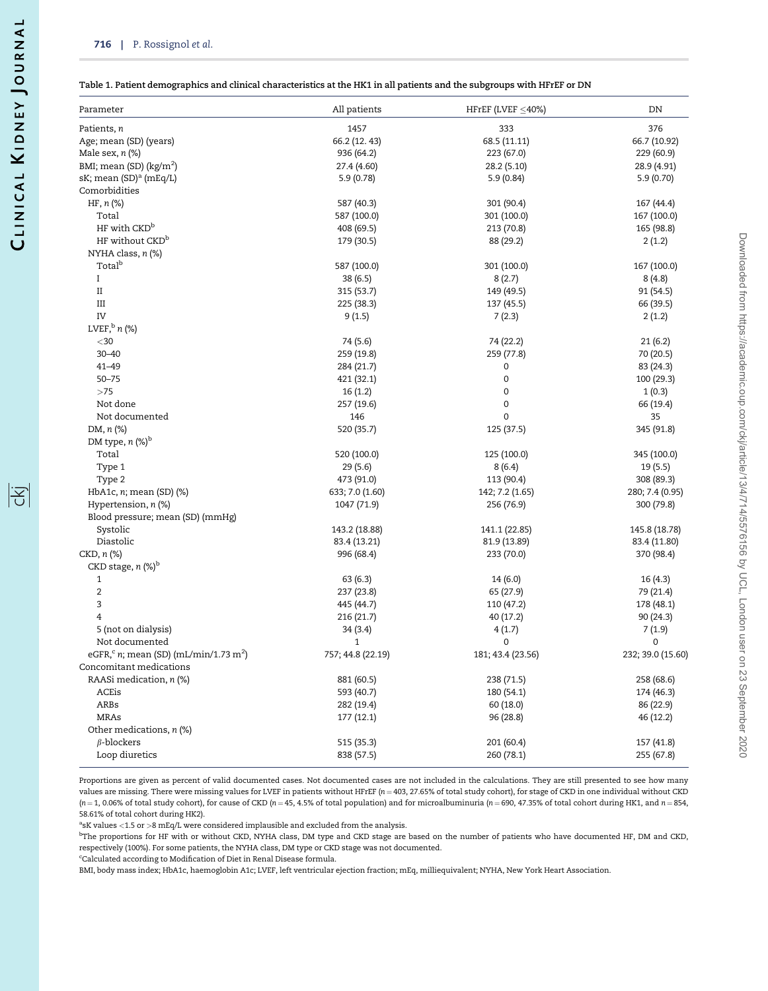|공

<span id="page-2-0"></span>

|  | Table 1. Patient demographics and clinical characteristics at the HK1 in all patients and the subgroups with HFrEF or DN |
|--|--------------------------------------------------------------------------------------------------------------------------|
|  |                                                                                                                          |

| Parameter                                                     | All patients      | HFrEF (LVEF $\leq$ 40%) | DN                |
|---------------------------------------------------------------|-------------------|-------------------------|-------------------|
| Patients, n                                                   | 1457              | 333                     | 376               |
| Age; mean (SD) (years)                                        | 66.2 (12. 43)     | 68.5 (11.11)            | 66.7 (10.92)      |
| Male sex, $n$ $%$                                             | 936 (64.2)        | 223 (67.0)              | 229 (60.9)        |
| BMI; mean (SD) $(kg/m2)$                                      | 27.4 (4.60)       | 28.2 (5.10)             | 28.9 (4.91)       |
| sK; mean (SD) <sup>a</sup> (mEq/L)                            | 5.9(0.78)         | 5.9(0.84)               | 5.9(0.70)         |
| Comorbidities                                                 |                   |                         |                   |
| $HF, n (\%)$                                                  | 587 (40.3)        | 301 (90.4)              | 167 (44.4)        |
| Total                                                         | 587 (100.0)       | 301 (100.0)             | 167 (100.0)       |
| HF with CKD <sup>b</sup>                                      | 408 (69.5)        | 213 (70.8)              | 165 (98.8)        |
| HF without CKD <sup>b</sup>                                   | 179 (30.5)        | 88 (29.2)               | 2(1.2)            |
| NYHA class, n (%)                                             |                   |                         |                   |
| Total <sup>b</sup>                                            | 587 (100.0)       | 301 (100.0)             | 167 (100.0)       |
| $\mathbf{I}$                                                  | 38 (6.5)          | 8(2.7)                  | 8(4.8)            |
| $\rm II$                                                      | 315 (53.7)        | 149 (49.5)              | 91 (54.5)         |
| Ш                                                             | 225 (38.3)        | 137 (45.5)              | 66 (39.5)         |
| IV                                                            | 9(1.5)            | 7(2.3)                  | 2(1.2)            |
| LVEF, $^{\rm b}$ n (%)                                        |                   |                         |                   |
| $<$ 30                                                        | 74 (5.6)          | 74 (22.2)               | 21(6.2)           |
| $30 - 40$                                                     | 259 (19.8)        | 259 (77.8)              | 70 (20.5)         |
| 41-49                                                         | 284 (21.7)        | 0                       | 83 (24.3)         |
| $50 - 75$                                                     | 421 (32.1)        | 0                       | 100 (29.3)        |
| >75                                                           | 16(1.2)           | 0                       | 1(0.3)            |
| Not done                                                      | 257 (19.6)        | $\mathsf{O}\xspace$     | 66 (19.4)         |
| Not documented                                                | 146               | $\mathbf 0$             | 35                |
| DM, n (%)                                                     | 520 (35.7)        | 125 (37.5)              | 345 (91.8)        |
| DM type, $n$ (%) <sup>b</sup>                                 |                   |                         |                   |
| Total                                                         | 520 (100.0)       | 125 (100.0)             | 345 (100.0)       |
| Type 1                                                        | 29 (5.6)          | 8(6.4)                  | 19 (5.5)          |
| Type 2                                                        | 473 (91.0)        | 113 (90.4)              | 308 (89.3)        |
| HbA1c, $n$ ; mean (SD) $(\%)$                                 | 633; 7.0 (1.60)   | 142; 7.2 (1.65)         | 280; 7.4 (0.95)   |
| Hypertension, n (%)                                           | 1047 (71.9)       | 256 (76.9)              | 300 (79.8)        |
| Blood pressure; mean (SD) (mmHg)                              |                   |                         |                   |
| Systolic                                                      | 143.2 (18.88)     | 141.1 (22.85)           | 145.8 (18.78)     |
| Diastolic                                                     |                   |                         |                   |
|                                                               | 83.4 (13.21)      | 81.9 (13.89)            | 83.4 (11.80)      |
| CKD, n (%)<br>CKD stage, $n$ (%) <sup>b</sup>                 | 996 (68.4)        | 233 (70.0)              | 370 (98.4)        |
|                                                               |                   |                         |                   |
| 1                                                             | 63(6.3)           | 14(6.0)                 | 16(4.3)           |
| $\overline{2}$                                                | 237 (23.8)        | 65 (27.9)               | 79 (21.4)         |
| 3                                                             | 445 (44.7)        | 110 (47.2)              | 178 (48.1)        |
| 4                                                             | 216 (21.7)        | 40 (17.2)               | 90 (24.3)         |
| 5 (not on dialysis)                                           | 34 (3.4)          | 4(1.7)                  | 7(1.9)            |
| Not documented                                                | $\mathbf{1}$      | 0                       | 0                 |
| eGFR, <sup>c</sup> n; mean (SD) (mL/min/1.73 m <sup>2</sup> ) | 757; 44.8 (22.19) | 181; 43.4 (23.56)       | 232; 39.0 (15.60) |
| Concomitant medications                                       |                   |                         |                   |
| RAASi medication, n (%)                                       | 881 (60.5)        | 238 (71.5)              | 258 (68.6)        |
| ACEis                                                         | 593 (40.7)        | 180 (54.1)              | 174 (46.3)        |
| ARBs                                                          | 282 (19.4)        | 60 (18.0)               | 86 (22.9)         |
| <b>MRAs</b>                                                   | 177 (12.1)        | 96 (28.8)               | 46 (12.2)         |
| Other medications, n (%)                                      |                   |                         |                   |
| $\beta$ -blockers                                             | 515 (35.3)        | 201 (60.4)              | 157 (41.8)        |
| Loop diuretics                                                | 838 (57.5)        | 260 (78.1)              | 255 (67.8)        |

Proportions are given as percent of valid documented cases. Not documented cases are not included in the calculations. They are still presented to see how many values are missing. There were missing values for LVEF in patients without HFrEF (n = 403, 27.65% of total study cohort), for stage of CKD in one individual without CKD  $(n = 1, 0.06\%$  of total study cohort), for cause of CKD  $(n = 45, 4.5\%$  of total population) and for microalbuminuria  $(n = 690, 47.35\%$  of total cohort during HK1, and  $n = 854$ , 58.61% of total cohort during HK2).

<sup>a</sup>sK values <1.5 or >8 mEq/L were considered implausible and excluded from the analysis.

b The proportions for HF with or without CKD, NYHA class, DM type and CKD stage are based on the number of patients who have documented HF, DM and CKD, respectively (100%). For some patients, the NYHA class, DM type or CKD stage was not documented.

<sup>c</sup>Calculated according to Modification of Diet in Renal Disease formula.

BMI, body mass index; HbA1c, haemoglobin A1c; LVEF, left ventricular ejection fraction; mEq, milliequivalent; NYHA, New York Heart Association.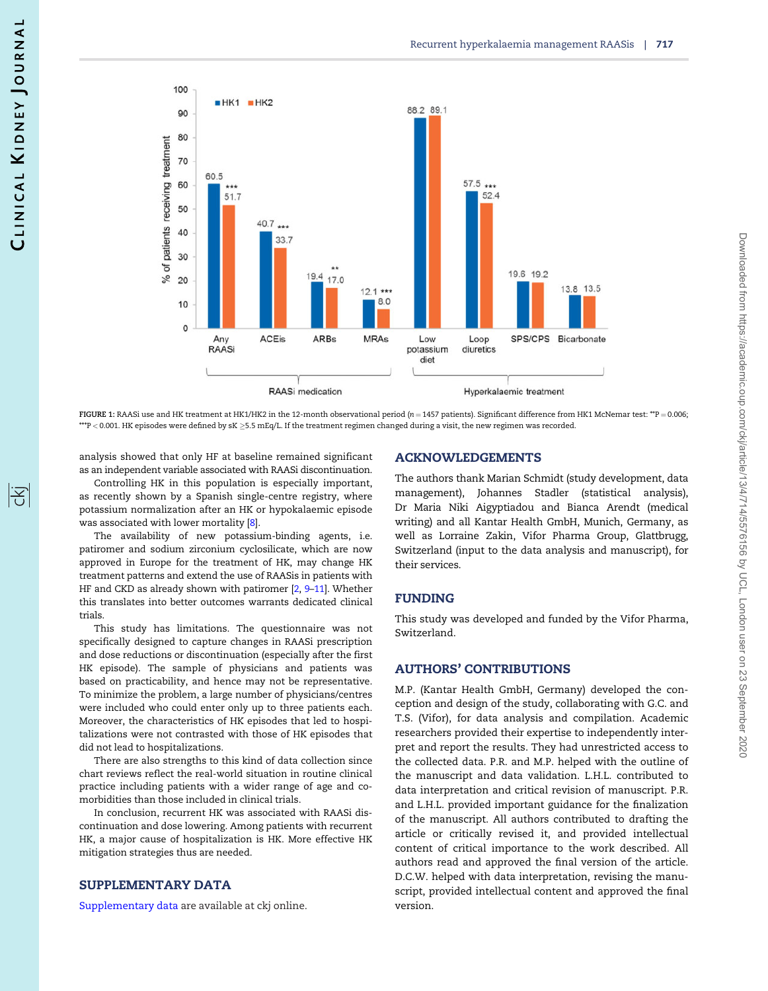<span id="page-3-0"></span>

FIGURE 1: RAASi use and HK treatment at HK1/HK2 in the 12-month observational period ( $n = 1457$  patients). Significant difference from HK1 McNemar test: \*\*P = 0.006;  $^{**}\!$ P  $<$  0.001. HK episodes were defined by sK  $\geq$ 5.5 mEq/L. If the treatment regimen changed during a visit, the new regimen was recorded.

analysis showed that only HF at baseline remained significant as an independent variable associated with RAASi discontinuation.

Controlling HK in this population is especially important, as recently shown by a Spanish single-centre registry, where potassium normalization after an HK or hypokalaemic episode was associated with lower mortality [\[8](#page-5-0)].

The availability of new potassium-binding agents, i.e. patiromer and sodium zirconium cyclosilicate, which are now approved in Europe for the treatment of HK, may change HK treatment patterns and extend the use of RAASis in patients with HF and CKD as already shown with patiromer [[2,](#page-5-0) 9-11]. Whether this translates into better outcomes warrants dedicated clinical trials.

This study has limitations. The questionnaire was not specifically designed to capture changes in RAASi prescription and dose reductions or discontinuation (especially after the first HK episode). The sample of physicians and patients was based on practicability, and hence may not be representative. To minimize the problem, a large number of physicians/centres were included who could enter only up to three patients each. Moreover, the characteristics of HK episodes that led to hospitalizations were not contrasted with those of HK episodes that did not lead to hospitalizations.

There are also strengths to this kind of data collection since chart reviews reflect the real-world situation in routine clinical practice including patients with a wider range of age and comorbidities than those included in clinical trials.

In conclusion, recurrent HK was associated with RAASi discontinuation and dose lowering. Among patients with recurrent HK, a major cause of hospitalization is HK. More effective HK mitigation strategies thus are needed.

## SUPPLEMENTARY DATA

[Supplementary data](https://academic.oup.com/ckj/article-lookup/doi/10.1093/ckj/sfz129#supplementary-data) are available at ckj online.

### ACKNOWLEDGEMENTS

The authors thank Marian Schmidt (study development, data management), Johannes Stadler (statistical analysis), Dr Maria Niki Aigyptiadou and Bianca Arendt (medical writing) and all Kantar Health GmbH, Munich, Germany, as well as Lorraine Zakin, Vifor Pharma Group, Glattbrugg, Switzerland (input to the data analysis and manuscript), for their services.

### FUNDING

This study was developed and funded by the Vifor Pharma, Switzerland.

## AUTHORS' CONTRIBUTIONS

M.P. (Kantar Health GmbH, Germany) developed the conception and design of the study, collaborating with G.C. and T.S. (Vifor), for data analysis and compilation. Academic researchers provided their expertise to independently interpret and report the results. They had unrestricted access to the collected data. P.R. and M.P. helped with the outline of the manuscript and data validation. L.H.L. contributed to data interpretation and critical revision of manuscript. P.R. and L.H.L. provided important guidance for the finalization of the manuscript. All authors contributed to drafting the article or critically revised it, and provided intellectual content of critical importance to the work described. All authors read and approved the final version of the article. D.C.W. helped with data interpretation, revising the manuscript, provided intellectual content and approved the final version.

阁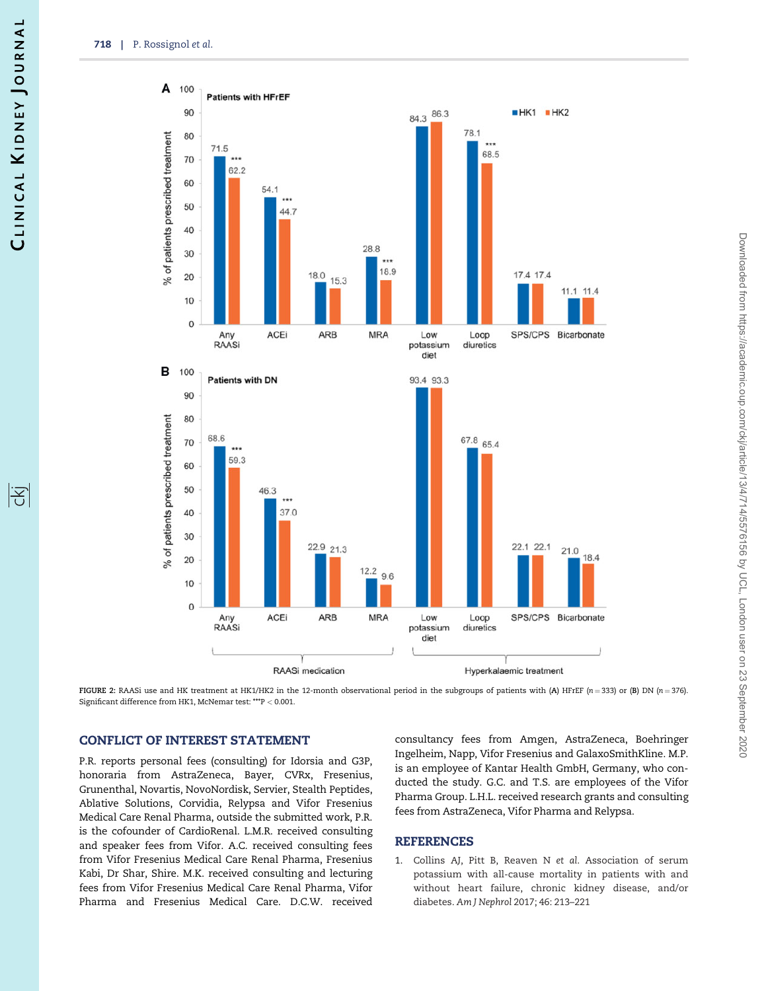<span id="page-4-0"></span>

FIGURE 2: RAASi use and HK treatment at HK1/HK2 in the 12-month observational period in the subgroups of patients with (A) HFrEF (n = 333) or (B) DN (n = 376). Significant difference from HK1, McNemar test: \*\*\*P < 0.001.

## CONFLICT OF INTEREST STATEMENT

P.R. reports personal fees (consulting) for Idorsia and G3P, honoraria from AstraZeneca, Bayer, CVRx, Fresenius, Grunenthal, Novartis, NovoNordisk, Servier, Stealth Peptides, Ablative Solutions, Corvidia, Relypsa and Vifor Fresenius Medical Care Renal Pharma, outside the submitted work, P.R. is the cofounder of CardioRenal. L.M.R. received consulting and speaker fees from Vifor. A.C. received consulting fees from Vifor Fresenius Medical Care Renal Pharma, Fresenius Kabi, Dr Shar, Shire. M.K. received consulting and lecturing fees from Vifor Fresenius Medical Care Renal Pharma, Vifor Pharma and Fresenius Medical Care. D.C.W. received

consultancy fees from Amgen, AstraZeneca, Boehringer Ingelheim, Napp, Vifor Fresenius and GalaxoSmithKline. M.P. is an employee of Kantar Health GmbH, Germany, who conducted the study. G.C. and T.S. are employees of the Vifor Pharma Group. L.H.L. received research grants and consulting fees from AstraZeneca, Vifor Pharma and Relypsa.

## REFERENCES

[1](#page-0-0). Collins AJ, Pitt B, Reaven N et al. Association of serum potassium with all-cause mortality in patients with and without heart failure, chronic kidney disease, and/or diabetes. Am J Nephrol 2017; 46: 213–221

阁